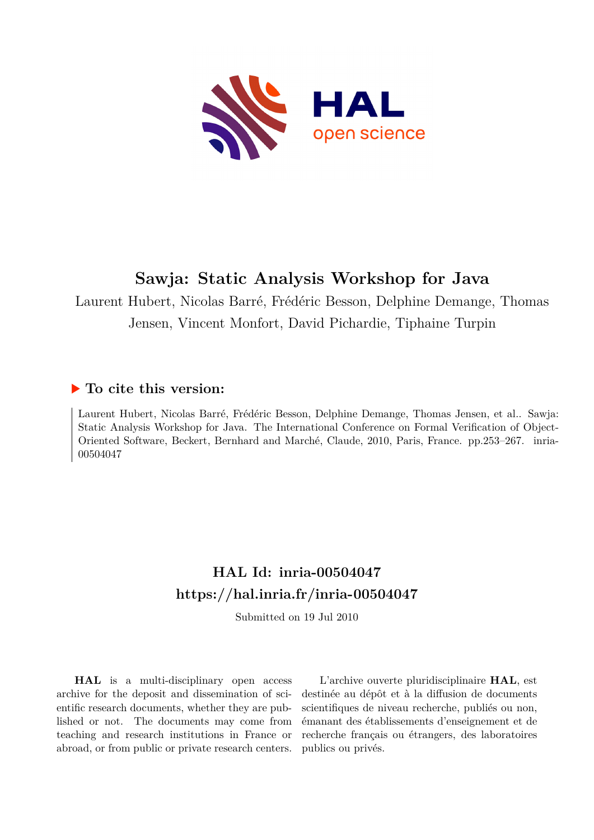

# **Sawja: Static Analysis Workshop for Java**

Laurent Hubert, Nicolas Barré, Frédéric Besson, Delphine Demange, Thomas Jensen, Vincent Monfort, David Pichardie, Tiphaine Turpin

# **To cite this version:**

Laurent Hubert, Nicolas Barré, Frédéric Besson, Delphine Demange, Thomas Jensen, et al.. Sawja: Static Analysis Workshop for Java. The International Conference on Formal Verification of Object-Oriented Software, Beckert, Bernhard and Marché, Claude, 2010, Paris, France. pp.253-267. inria-00504047

# **HAL Id: inria-00504047 <https://hal.inria.fr/inria-00504047>**

Submitted on 19 Jul 2010

**HAL** is a multi-disciplinary open access archive for the deposit and dissemination of scientific research documents, whether they are published or not. The documents may come from teaching and research institutions in France or abroad, or from public or private research centers.

L'archive ouverte pluridisciplinaire **HAL**, est destinée au dépôt et à la diffusion de documents scientifiques de niveau recherche, publiés ou non, émanant des établissements d'enseignement et de recherche français ou étrangers, des laboratoires publics ou privés.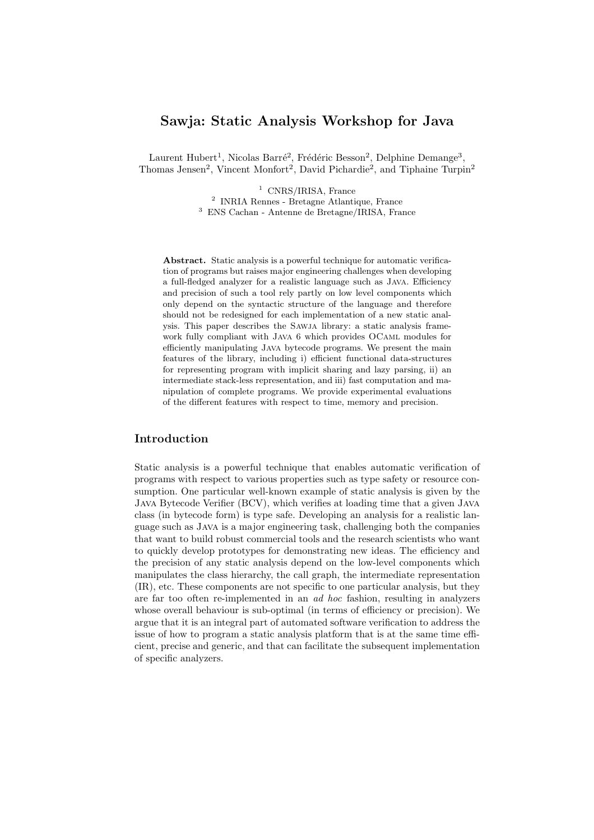# Sawja: Static Analysis Workshop for Java

Laurent Hubert<sup>1</sup>, Nicolas Barré<sup>2</sup>, Frédéric Besson<sup>2</sup>, Delphine Demange<sup>3</sup>, Thomas Jensen<sup>2</sup>, Vincent Monfort<sup>2</sup>, David Pichardie<sup>2</sup>, and Tiphaine Turpin<sup>2</sup>

> <sup>1</sup> CNRS/IRISA, France 2 INRIA Rennes - Bretagne Atlantique, France <sup>3</sup> ENS Cachan - Antenne de Bretagne/IRISA, France

Abstract. Static analysis is a powerful technique for automatic verification of programs but raises major engineering challenges when developing a full-fledged analyzer for a realistic language such as Java. Efficiency and precision of such a tool rely partly on low level components which only depend on the syntactic structure of the language and therefore should not be redesigned for each implementation of a new static analysis. This paper describes the Sawja library: a static analysis framework fully compliant with Java 6 which provides OCaml modules for efficiently manipulating Java bytecode programs. We present the main features of the library, including i) efficient functional data-structures for representing program with implicit sharing and lazy parsing, ii) an intermediate stack-less representation, and iii) fast computation and manipulation of complete programs. We provide experimental evaluations of the different features with respect to time, memory and precision.

## Introduction

Static analysis is a powerful technique that enables automatic verification of programs with respect to various properties such as type safety or resource consumption. One particular well-known example of static analysis is given by the Java Bytecode Verifier (BCV), which verifies at loading time that a given Java class (in bytecode form) is type safe. Developing an analysis for a realistic language such as Java is a major engineering task, challenging both the companies that want to build robust commercial tools and the research scientists who want to quickly develop prototypes for demonstrating new ideas. The efficiency and the precision of any static analysis depend on the low-level components which manipulates the class hierarchy, the call graph, the intermediate representation (IR), etc. These components are not specific to one particular analysis, but they are far too often re-implemented in an ad hoc fashion, resulting in analyzers whose overall behaviour is sub-optimal (in terms of efficiency or precision). We argue that it is an integral part of automated software verification to address the issue of how to program a static analysis platform that is at the same time efficient, precise and generic, and that can facilitate the subsequent implementation of specific analyzers.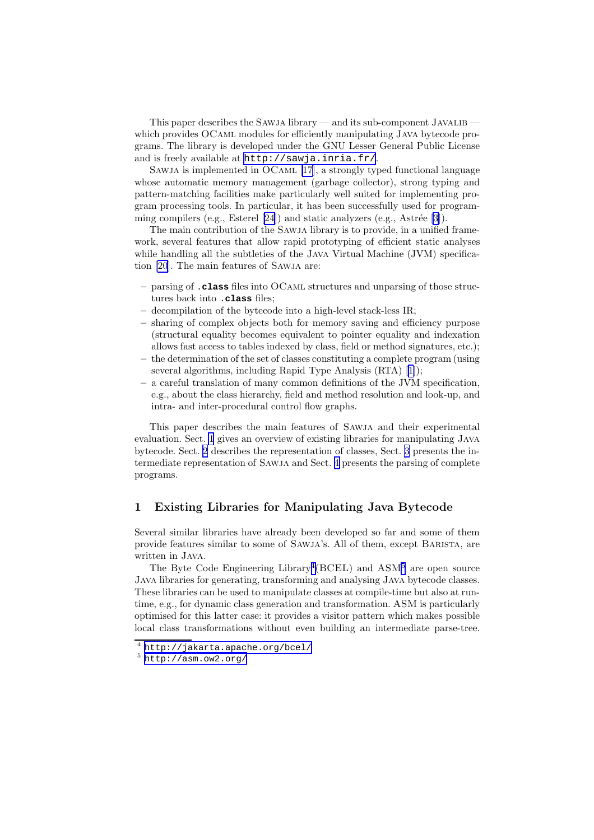This paper describes the Sawja library — and its sub-component Javalib which provides OCAML modules for efficiently manipulating JAVA bytecode programs. The library is developed under the GNU Lesser General Public License and is freely available at <http://sawja.inria.fr/>.

Sawja is implemented in OCaml [\[17](#page-15-0)], a strongly typed functional language whose automatic memory management (garbage collector), strong typing and pattern-matching facilities make particularly well suited for implementing program processing tools. In particular, it has been successfully used for programming compilers (e.g., Esterel  $[24]$ ) and static analyzers (e.g., Astrée  $[3]$  $[3]$ ).

The main contribution of the Sawja library is to provide, in a unified framework, several features that allow rapid prototyping of efficient static analyses while handling all the subtleties of the JAVA Virtual Machine (JVM) specification [\[20\]](#page-15-0). The main features of Sawja are:

- parsing of .**class** files into OCaml structures and unparsing of those structures back into .**class** files;
- decompilation of the bytecode into a high-level stack-less IR;
- sharing of complex objects both for memory saving and efficiency purpose (structural equality becomes equivalent to pointer equality and indexation allows fast access to tables indexed by class, field or method signatures, etc.);
- the determination of the set of classes constituting a complete program (using several algorithms, including Rapid Type Analysis (RTA) [\[1\]](#page-14-0));
- a careful translation of many common definitions of the JVM specification, e.g., about the class hierarchy, field and method resolution and look-up, and intra- and inter-procedural control flow graphs.

This paper describes the main features of Sawja and their experimental evaluation. Sect. 1 gives an overview of existing libraries for manipulating Java bytecode. Sect. [2](#page-4-0) describes the representation of classes, Sect. [3](#page-6-0) presents the intermediate representation of Sawja and Sect. [4](#page-10-0) presents the parsing of complete programs.

# 1 Existing Libraries for Manipulating Java Bytecode

Several similar libraries have already been developed so far and some of them provide features similar to some of Sawja's. All of them, except Barista, are written in Java.

The Byte Code Engineering Library<sup>4</sup>(BCEL) and  $\text{ASM}^5$  are open source Java libraries for generating, transforming and analysing Java bytecode classes. These libraries can be used to manipulate classes at compile-time but also at runtime, e.g., for dynamic class generation and transformation. ASM is particularly optimised for this latter case: it provides a visitor pattern which makes possible local class transformations without even building an intermediate parse-tree.

<sup>4</sup> <http://jakarta.apache.org/bcel/>

 $5$  <http://asm.ow2.org/>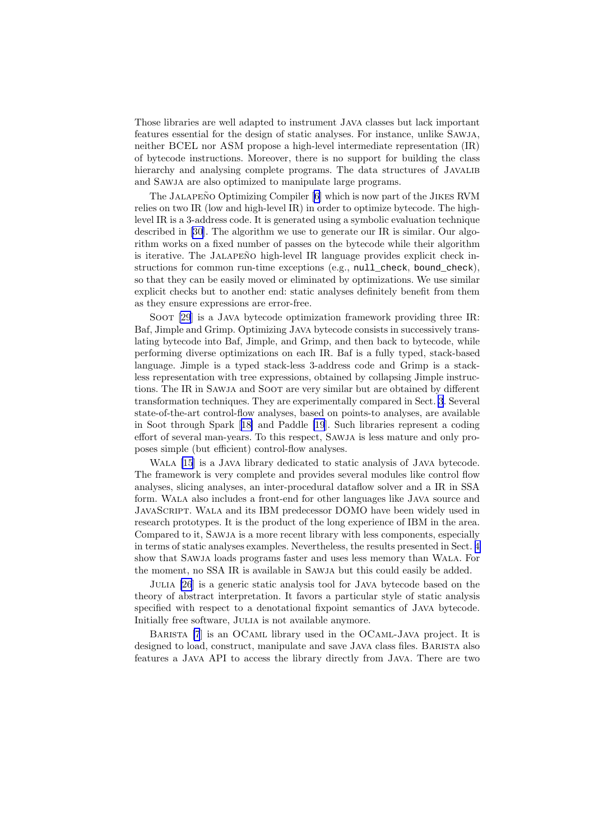Those libraries are well adapted to instrument Java classes but lack important features essential for the design of static analyses. For instance, unlike Sawja, neither BCEL nor ASM propose a high-level intermediate representation (IR) of bytecode instructions. Moreover, there is no support for building the class hierarchy and analysing complete programs. The data structures of JAVALIB and Sawja are also optimized to manipulate large programs.

TheJALAPEÑO Optimizing Compiler [[6\]](#page-15-0) which is now part of the JIKES RVM relies on two IR (low and high-level IR) in order to optimize bytecode. The highlevel IR is a 3-address code. It is generated using a symbolic evaluation technique described in [\[30](#page-16-0)]. The algorithm we use to generate our IR is similar. Our algorithm works on a fixed number of passes on the bytecode while their algorithm is iterative. The JALAPEÑO high-level IR language provides explicit check instructions for common run-time exceptions (e.g., null\_check, bound\_check), so that they can be easily moved or eliminated by optimizations. We use similar explicit checks but to another end: static analyses definitely benefit from them as they ensure expressions are error-free.

SOOT [\[29](#page-16-0)] is a JAVA bytecode optimization framework providing three IR: Baf, Jimple and Grimp. Optimizing Java bytecode consists in successively translating bytecode into Baf, Jimple, and Grimp, and then back to bytecode, while performing diverse optimizations on each IR. Baf is a fully typed, stack-based language. Jimple is a typed stack-less 3-address code and Grimp is a stackless representation with tree expressions, obtained by collapsing Jimple instructions. The IR in Sawja and Soot are very similar but are obtained by different transformation techniques. They are experimentally compared in Sect. [3](#page-6-0). Several state-of-the-art control-flow analyses, based on points-to analyses, are available in Soot through Spark[[18\]](#page-15-0) and Paddle [\[19](#page-15-0)]. Such libraries represent a coding effort of several man-years. To this respect, Sawja is less mature and only proposes simple (but efficient) control-flow analyses.

Wala [\[15](#page-15-0)] is a Java library dedicated to static analysis of Java bytecode. The framework is very complete and provides several modules like control flow analyses, slicing analyses, an inter-procedural dataflow solver and a IR in SSA form. Wala also includes a front-end for other languages like Java source and JavaScript. Wala and its IBM predecessor DOMO have been widely used in research prototypes. It is the product of the long experience of IBM in the area. Compared to it, Sawja is a more recent library with less components, especially in terms of static analyses examples. Nevertheless, the results presented in Sect. [4](#page-10-0) show that Sawja loads programs faster and uses less memory than Wala. For the moment, no SSA IR is available in Sawja but this could easily be added.

Julia [\[26](#page-15-0)] is a generic static analysis tool for Java bytecode based on the theory of abstract interpretation. It favors a particular style of static analysis specified with respect to a denotational fixpoint semantics of Java bytecode. Initially free software, JULIA is not available anymore.

BARISTA [\[7](#page-15-0)] is an OCAML library used in the OCAML-JAVA project. It is designed to load, construct, manipulate and save Java class files. Barista also features a Java API to access the library directly from Java. There are two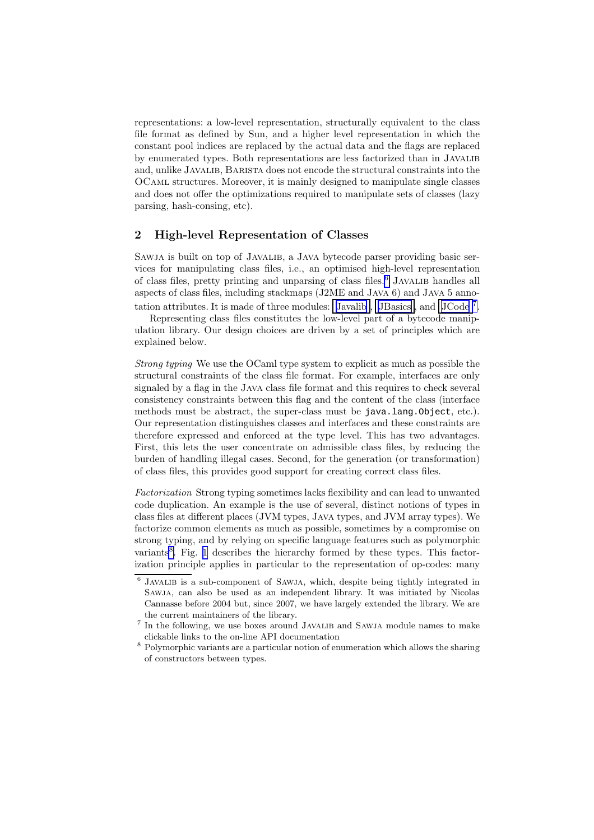<span id="page-4-0"></span>representations: a low-level representation, structurally equivalent to the class file format as defined by Sun, and a higher level representation in which the constant pool indices are replaced by the actual data and the flags are replaced by enumerated types. Both representations are less factorized than in Javalib and, unlike Javalib, Barista does not encode the structural constraints into the OCaml structures. Moreover, it is mainly designed to manipulate single classes and does not offer the optimizations required to manipulate sets of classes (lazy parsing, hash-consing, etc).

### 2 High-level Representation of Classes

Sawja is built on top of Javalib, a Java bytecode parser providing basic services for manipulating class files, i.e., an optimised high-level representation of class files, pretty printing and unparsing of class files.<sup>6</sup> JAVALIB handles all aspects of class files, including stackmaps (J2ME and Java 6) and Java 5 anno-tation attributes. It is made of three modules: [Javalib](http://javalib.gforge.inria.fr/doc/javalib-api/Javalib.html) , [JBasics](http://javalib.gforge.inria.fr/doc/javalib-api/JBasics.html), and [JCode](http://javalib.gforge.inria.fr/doc/javalib-api/JCode.html)<sup>7</sup>.

Representing class files constitutes the low-level part of a bytecode manipulation library. Our design choices are driven by a set of principles which are explained below.

Strong typing We use the OCaml type system to explicit as much as possible the structural constraints of the class file format. For example, interfaces are only signaled by a flag in the Java class file format and this requires to check several consistency constraints between this flag and the content of the class (interface methods must be abstract, the super-class must be java.lang.Object, etc.). Our representation distinguishes classes and interfaces and these constraints are therefore expressed and enforced at the type level. This has two advantages. First, this lets the user concentrate on admissible class files, by reducing the burden of handling illegal cases. Second, for the generation (or transformation) of class files, this provides good support for creating correct class files.

Factorization Strong typing sometimes lacks flexibility and can lead to unwanted code duplication. An example is the use of several, distinct notions of types in class files at different places (JVM types, Java types, and JVM array types). We factorize common elements as much as possible, sometimes by a compromise on strong typing, and by relying on specific language features such as polymorphic variants<sup>8</sup>. Fig. [1](#page-5-0) describes the hierarchy formed by these types. This factorization principle applies in particular to the representation of op-codes: many

<sup>&</sup>lt;sup>6</sup> JAVALIB is a sub-component of SAWJA, which, despite being tightly integrated in Sawja, can also be used as an independent library. It was initiated by Nicolas Cannasse before 2004 but, since 2007, we have largely extended the library. We are the current maintainers of the library.

<sup>&</sup>lt;sup>7</sup> In the following, we use boxes around JAVALIB and SAWJA module names to make clickable links to the on-line API documentation

<sup>8</sup> Polymorphic variants are a particular notion of enumeration which allows the sharing of constructors between types.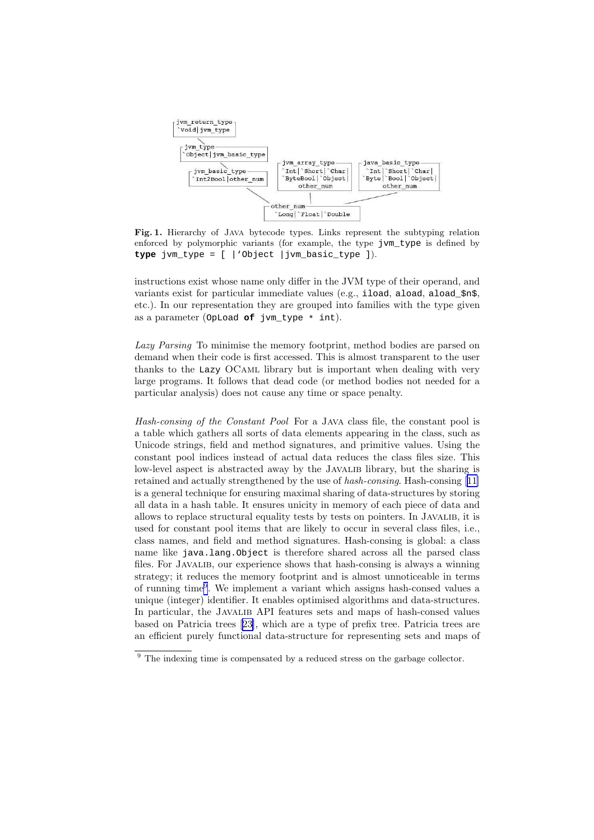<span id="page-5-0"></span>

Fig. 1. Hierarchy of Java bytecode types. Links represent the subtyping relation enforced by polymorphic variants (for example, the type jvm\_type is defined by **type** jvm\_type = [ |'Object |jvm\_basic\_type ]).

instructions exist whose name only differ in the JVM type of their operand, and variants exist for particular immediate values (e.g., iload, aload, aload  $\sin \theta$ , etc.). In our representation they are grouped into families with the type given as a parameter (OpLoad **of** jvm\_type \* int).

Lazy Parsing To minimise the memory footprint, method bodies are parsed on demand when their code is first accessed. This is almost transparent to the user thanks to the Lazy OCaml library but is important when dealing with very large programs. It follows that dead code (or method bodies not needed for a particular analysis) does not cause any time or space penalty.

Hash-consing of the Constant Pool For a Java class file, the constant pool is a table which gathers all sorts of data elements appearing in the class, such as Unicode strings, field and method signatures, and primitive values. Using the constant pool indices instead of actual data reduces the class files size. This low-level aspect is abstracted away by the JAVALIB library, but the sharing is retained and actually strengthened by the use of hash-consing. Hash-consing[[11\]](#page-15-0) is a general technique for ensuring maximal sharing of data-structures by storing all data in a hash table. It ensures unicity in memory of each piece of data and allows to replace structural equality tests by tests on pointers. In Javalib, it is used for constant pool items that are likely to occur in several class files, i.e., class names, and field and method signatures. Hash-consing is global: a class name like java.lang.Object is therefore shared across all the parsed class files. For Javalib, our experience shows that hash-consing is always a winning strategy; it reduces the memory footprint and is almost unnoticeable in terms of running time<sup>9</sup> . We implement a variant which assigns hash-consed values a unique (integer) identifier. It enables optimised algorithms and data-structures. In particular, the Javalib API features sets and maps of hash-consed values based on Patricia trees[[23\]](#page-15-0), which are a type of prefix tree. Patricia trees are an efficient purely functional data-structure for representing sets and maps of

<sup>&</sup>lt;sup>9</sup> The indexing time is compensated by a reduced stress on the garbage collector.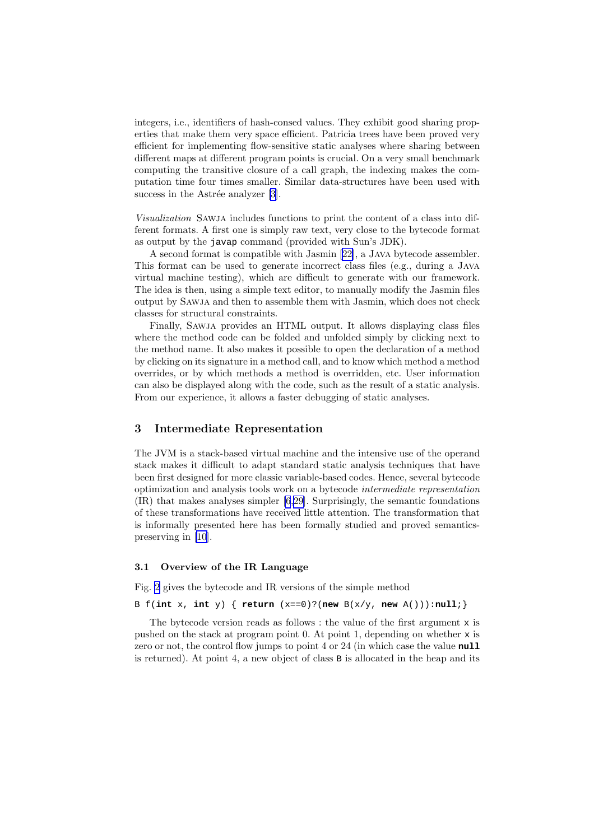<span id="page-6-0"></span>integers, i.e., identifiers of hash-consed values. They exhibit good sharing properties that make them very space efficient. Patricia trees have been proved very efficient for implementing flow-sensitive static analyses where sharing between different maps at different program points is crucial. On a very small benchmark computing the transitive closure of a call graph, the indexing makes the computation time four times smaller. Similar data-structures have been used with success in the Astrée analyzer [\[3](#page-14-0)].

Visualization Sawja includes functions to print the content of a class into different formats. A first one is simply raw text, very close to the bytecode format as output by the javap command (provided with Sun's JDK).

A second format is compatible with Jasmin[[22\]](#page-15-0), a Java bytecode assembler. This format can be used to generate incorrect class files (e.g., during a Java virtual machine testing), which are difficult to generate with our framework. The idea is then, using a simple text editor, to manually modify the Jasmin files output by Sawja and then to assemble them with Jasmin, which does not check classes for structural constraints.

Finally, Sawja provides an HTML output. It allows displaying class files where the method code can be folded and unfolded simply by clicking next to the method name. It also makes it possible to open the declaration of a method by clicking on its signature in a method call, and to know which method a method overrides, or by which methods a method is overridden, etc. User information can also be displayed along with the code, such as the result of a static analysis. From our experience, it allows a faster debugging of static analyses.

#### 3 Intermediate Representation

The JVM is a stack-based virtual machine and the intensive use of the operand stack makes it difficult to adapt standard static analysis techniques that have been first designed for more classic variable-based codes. Hence, several bytecode optimization and analysis tools work on a bytecode intermediate representation (IR) that makes analyses simpler [\[6](#page-15-0),[29\]](#page-16-0). Surprisingly, the semantic foundations of these transformations have received little attention. The transformation that is informally presented here has been formally studied and proved semanticspreserving in [\[10](#page-15-0)].

#### 3.1 Overview of the IR Language

Fig. [2](#page-7-0) gives the bytecode and IR versions of the simple method

```
B f(int x, int y) { return (x==0)?(new B(x/y, new A())):null;}
```
The bytecode version reads as follows : the value of the first argument  $x$  is pushed on the stack at program point 0. At point 1, depending on whether  $x$  is zero or not, the control flow jumps to point 4 or 24 (in which case the value **null** is returned). At point 4, a new object of class B is allocated in the heap and its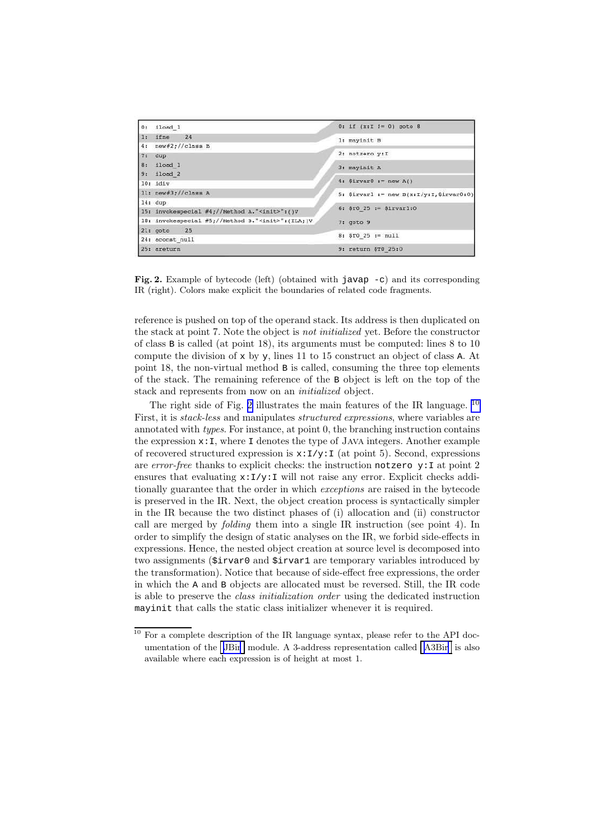<span id="page-7-0"></span>

| 0: | iload 1                                                  | $0:$ if $(x:1 = 0)$ goto 8                |  |  |  |  |
|----|----------------------------------------------------------|-------------------------------------------|--|--|--|--|
| 1: | 24<br>ifne                                               | 1: mayinit B                              |  |  |  |  |
| 4: | new#2://class B                                          |                                           |  |  |  |  |
| 7: | dup                                                      | 2: notzero y:I                            |  |  |  |  |
| 8: | iload 1                                                  | 3: mayinit A                              |  |  |  |  |
| 9: | iload 2                                                  | 4: \$irvar0 := new $A()$                  |  |  |  |  |
|    | 10: idiv                                                 |                                           |  |  |  |  |
|    | 11: new#3;//class A                                      | 5: \$irvarl := new B(x:I/y:I, \$irvar0:0) |  |  |  |  |
|    | $14:$ dup                                                |                                           |  |  |  |  |
|    | 15: invokespecial #4;//Method A." <init>":()V</init>     | $6: $T0 25 := $1rvar1:0$                  |  |  |  |  |
|    | 18: invokespecial #5;//Method B." <init>":(ILA;)V</init> | 7: qoto9                                  |  |  |  |  |
|    | 21: qoto<br>25                                           |                                           |  |  |  |  |
|    | 24: aconst null                                          | $8:$ \$TO 25 := null                      |  |  |  |  |
|    | 25: areturn                                              | 9: return \$T0 25:0                       |  |  |  |  |

Fig. 2. Example of bytecode (left) (obtained with javap  $-c$ ) and its corresponding IR (right). Colors make explicit the boundaries of related code fragments.

reference is pushed on top of the operand stack. Its address is then duplicated on the stack at point 7. Note the object is not initialized yet. Before the constructor of class B is called (at point 18), its arguments must be computed: lines 8 to 10 compute the division of x by y, lines 11 to 15 construct an object of class A. At point 18, the non-virtual method B is called, consuming the three top elements of the stack. The remaining reference of the B object is left on the top of the stack and represents from now on an *initialized* object.

The right side of Fig. 2 illustrates the main features of the IR language.  $^{10}$ First, it is *stack-less* and manipulates *structured expressions*, where variables are annotated with types. For instance, at point 0, the branching instruction contains the expression  $x:I$ , where I denotes the type of JAVA integers. Another example of recovered structured expression is  $x:I/y:I$  (at point 5). Second, expressions are error-free thanks to explicit checks: the instruction notzero  $y:I$  at point 2 ensures that evaluating  $x:I/y:I$  will not raise any error. Explicit checks additionally guarantee that the order in which exceptions are raised in the bytecode is preserved in the IR. Next, the object creation process is syntactically simpler in the IR because the two distinct phases of (i) allocation and (ii) constructor call are merged by folding them into a single IR instruction (see point 4). In order to simplify the design of static analyses on the IR, we forbid side-effects in expressions. Hence, the nested object creation at source level is decomposed into two assignments (\$irvar0 and \$irvar1 are temporary variables introduced by the transformation). Notice that because of side-effect free expressions, the order in which the A and B objects are allocated must be reversed. Still, the IR code is able to preserve the *class initialization order* using the dedicated instruction mayinit that calls the static class initializer whenever it is required.

 $\overline{10}$  For a complete description of the IR language syntax, please refer to the API doc-umentation of the [JBir](http://javalib.gforge.inria.fr/doc/sawja-api/JBir.html) module. A 3-address representation called  $|$  [A3Bir](http://javalib.gforge.inria.fr/doc/sawja-api/A3Bir.html) is also available where each expression is of height at most 1.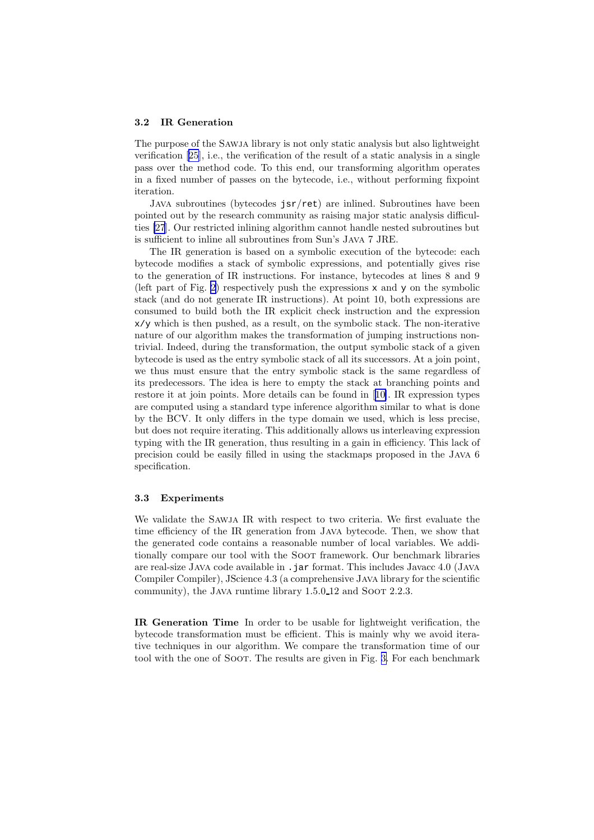#### 3.2 IR Generation

The purpose of the Sawja library is not only static analysis but also lightweight verification[[25](#page-15-0)], i.e., the verification of the result of a static analysis in a single pass over the method code. To this end, our transforming algorithm operates in a fixed number of passes on the bytecode, i.e., without performing fixpoint iteration.

Java subroutines (bytecodes  $\frac{1}{2}$  is  $\frac{1}{2}$  are inlined. Subroutines have been pointed out by the research community as raising major static analysis difficulties [\[27](#page-15-0)]. Our restricted inlining algorithm cannot handle nested subroutines but is sufficient to inline all subroutines from Sun's Java 7 JRE.

The IR generation is based on a symbolic execution of the bytecode: each bytecode modifies a stack of symbolic expressions, and potentially gives rise to the generation of IR instructions. For instance, bytecodes at lines 8 and 9 (left part of Fig. [2](#page-7-0)) respectively push the expressions  $x$  and  $y$  on the symbolic stack (and do not generate IR instructions). At point 10, both expressions are consumed to build both the IR explicit check instruction and the expression  $x/y$  which is then pushed, as a result, on the symbolic stack. The non-iterative nature of our algorithm makes the transformation of jumping instructions nontrivial. Indeed, during the transformation, the output symbolic stack of a given bytecode is used as the entry symbolic stack of all its successors. At a join point, we thus must ensure that the entry symbolic stack is the same regardless of its predecessors. The idea is here to empty the stack at branching points and restore it at join points. More details can be found in[[10\]](#page-15-0). IR expression types are computed using a standard type inference algorithm similar to what is done by the BCV. It only differs in the type domain we used, which is less precise, but does not require iterating. This additionally allows us interleaving expression typing with the IR generation, thus resulting in a gain in efficiency. This lack of precision could be easily filled in using the stackmaps proposed in the Java 6 specification.

#### 3.3 Experiments

We validate the Sawja IR with respect to two criteria. We first evaluate the time efficiency of the IR generation from Java bytecode. Then, we show that the generated code contains a reasonable number of local variables. We additionally compare our tool with the Soot framework. Our benchmark libraries are real-size Java code available in .jar format. This includes Javacc 4.0 (Java Compiler Compiler), JScience 4.3 (a comprehensive Java library for the scientific community), the JAVA runtime library 1.5.0.12 and Soot 2.2.3.

IR Generation Time In order to be usable for lightweight verification, the bytecode transformation must be efficient. This is mainly why we avoid iterative techniques in our algorithm. We compare the transformation time of our tool with the one of Soot. The results are given in Fig. [3.](#page-9-0) For each benchmark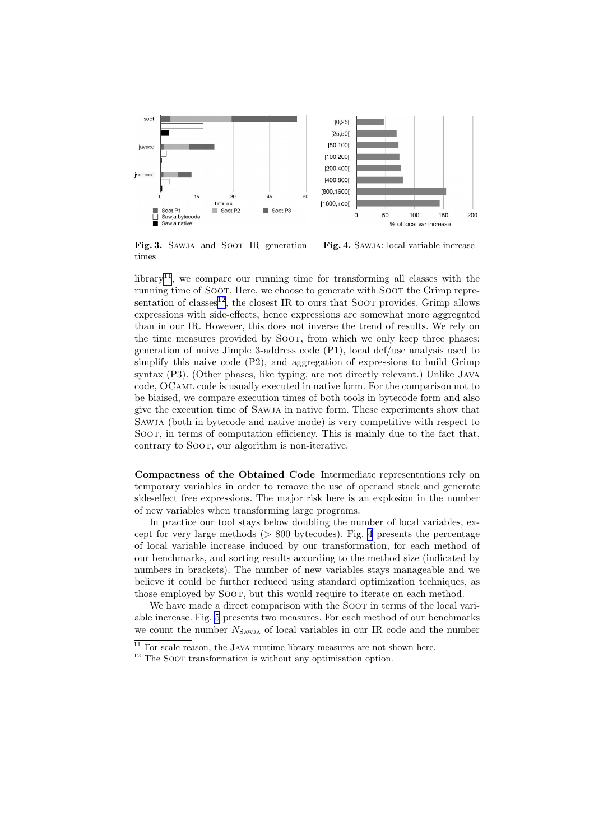<span id="page-9-0"></span>

Fig. 3. SAWJA and SOOT IR generation times Fig. 4. Sawja: local variable increase

 $\mu$ library<sup>11</sup>, we compare our running time for transforming all classes with the running time of SOOT. Here, we choose to generate with SOOT the Grimp representation of classes<sup>12</sup>, the closest IR to ours that SOOT provides. Grimp allows expressions with side-effects, hence expressions are somewhat more aggregated than in our IR. However, this does not inverse the trend of results. We rely on the time measures provided by Soot, from which we only keep three phases: generation of naive Jimple 3-address code (P1), local def/use analysis used to simplify this naive code (P2), and aggregation of expressions to build Grimp syntax (P3). (Other phases, like typing, are not directly relevant.) Unlike Java code, OCaml code is usually executed in native form. For the comparison not to be biaised, we compare execution times of both tools in bytecode form and also give the execution time of Sawja in native form. These experiments show that Sawja (both in bytecode and native mode) is very competitive with respect to Soot, in terms of computation efficiency. This is mainly due to the fact that, contrary to Soot, our algorithm is non-iterative.

Compactness of the Obtained Code Intermediate representations rely on temporary variables in order to remove the use of operand stack and generate side-effect free expressions. The major risk here is an explosion in the number of new variables when transforming large programs.

In practice our tool stays below doubling the number of local variables, except for very large methods ( $> 800$  bytecodes). Fig. 4 presents the percentage of local variable increase induced by our transformation, for each method of our benchmarks, and sorting results according to the method size (indicated by numbers in brackets). The number of new variables stays manageable and we believe it could be further reduced using standard optimization techniques, as those employed by SOOT, but this would require to iterate on each method.

We have made a direct comparison with the SOOT in terms of the local variable increase. Fig. [5](#page-10-0) presents two measures. For each method of our benchmarks we count the number  $N_{S_{\text{AWIA}}}$  of local variables in our IR code and the number

 $11$  For scale reason, the JAVA runtime library measures are not shown here.

<sup>&</sup>lt;sup>12</sup> The SOOT transformation is without any optimisation option.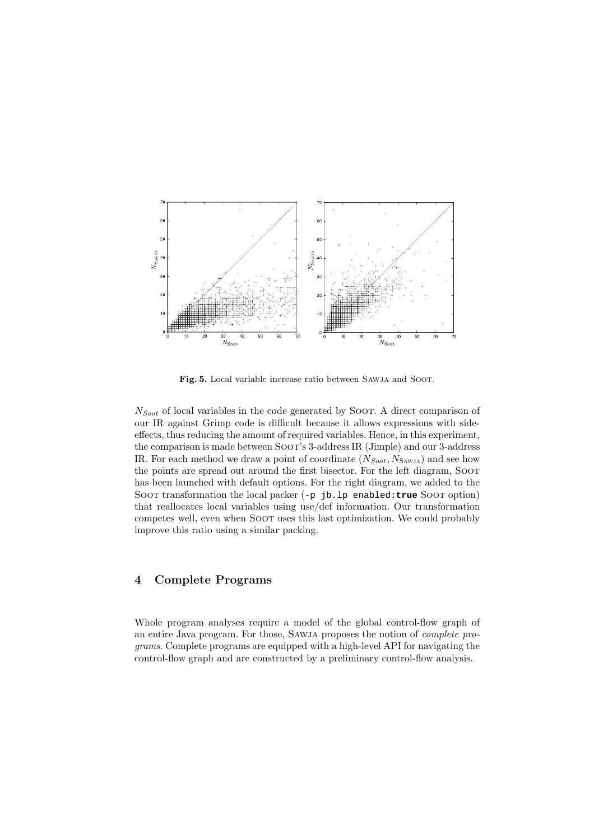<span id="page-10-0"></span>

Fig. 5. Local variable increase ratio between Sawja and Soot.

 $N<sub>foot</sub>$  of local variables in the code generated by Soot. A direct comparison of our IR against Grimp code is difficult because it allows expressions with sideeffects, thus reducing the amount of required variables. Hence, in this experiment, the comparison is made between Soot's 3-address IR (Jimple) and our 3-address IR. For each method we draw a point of coordinate  $(N_{Soot}, N_{SAWJA})$  and see how the points are spread out around the first bisector. For the left diagram, SOOT has been launched with default options. For the right diagram, we added to the Soot transformation the local packer (-p jb.lp enabled:true Soot option) that reallocates local variables using use/def information. Our transformation competes well, even when Soot uses this last optimization. We could probably improve this ratio using a similar packing.

# 4 Complete Programs

Whole program analyses require a model of the global control-flow graph of an entire Java program. For those, Sawja proposes the notion of complete programs. Complete programs are equipped with a high-level API for navigating the control-flow graph and are constructed by a preliminary control-flow analysis.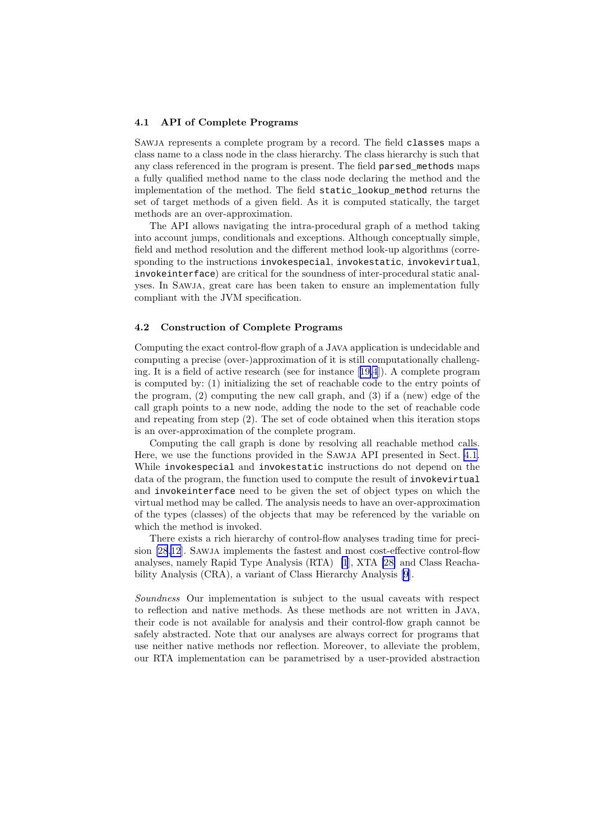#### 4.1 API of Complete Programs

Sawja represents a complete program by a record. The field classes maps a class name to a class node in the class hierarchy. The class hierarchy is such that any class referenced in the program is present. The field parsed\_methods maps a fully qualified method name to the class node declaring the method and the implementation of the method. The field static\_lookup\_method returns the set of target methods of a given field. As it is computed statically, the target methods are an over-approximation.

The API allows navigating the intra-procedural graph of a method taking into account jumps, conditionals and exceptions. Although conceptually simple, field and method resolution and the different method look-up algorithms (corresponding to the instructions invokespecial, invokestatic, invokevirtual, invokeinterface) are critical for the soundness of inter-procedural static analyses. In Sawja, great care has been taken to ensure an implementation fully compliant with the JVM specification.

#### 4.2 Construction of Complete Programs

Computing the exact control-flow graph of a Java application is undecidable and computing a precise (over-)approximation of it is still computationally challenging. It is a field of active research (see for instance[[19,](#page-15-0)[4](#page-14-0)]). A complete program is computed by: (1) initializing the set of reachable code to the entry points of the program, (2) computing the new call graph, and (3) if a (new) edge of the call graph points to a new node, adding the node to the set of reachable code and repeating from step (2). The set of code obtained when this iteration stops is an over-approximation of the complete program.

Computing the call graph is done by resolving all reachable method calls. Here, we use the functions provided in the Sawja API presented in Sect. 4.1. While invokespecial and invokestatic instructions do not depend on the data of the program, the function used to compute the result of invokevirtual and invokeinterface need to be given the set of object types on which the virtual method may be called. The analysis needs to have an over-approximation of the types (classes) of the objects that may be referenced by the variable on which the method is invoked.

There exists a rich hierarchy of control-flow analyses trading time for precision [\[28](#page-16-0)[,12](#page-15-0)]. Sawja implements the fastest and most cost-effective control-flow analyses, namely Rapid Type Analysis (RTA) [\[1](#page-14-0)], XTA [\[28\]](#page-16-0) and Class Reachability Analysis (CRA), a variant of Class Hierarchy Analysis [\[9](#page-15-0)].

Soundness Our implementation is subject to the usual caveats with respect to reflection and native methods. As these methods are not written in Java, their code is not available for analysis and their control-flow graph cannot be safely abstracted. Note that our analyses are always correct for programs that use neither native methods nor reflection. Moreover, to alleviate the problem, our RTA implementation can be parametrised by a user-provided abstraction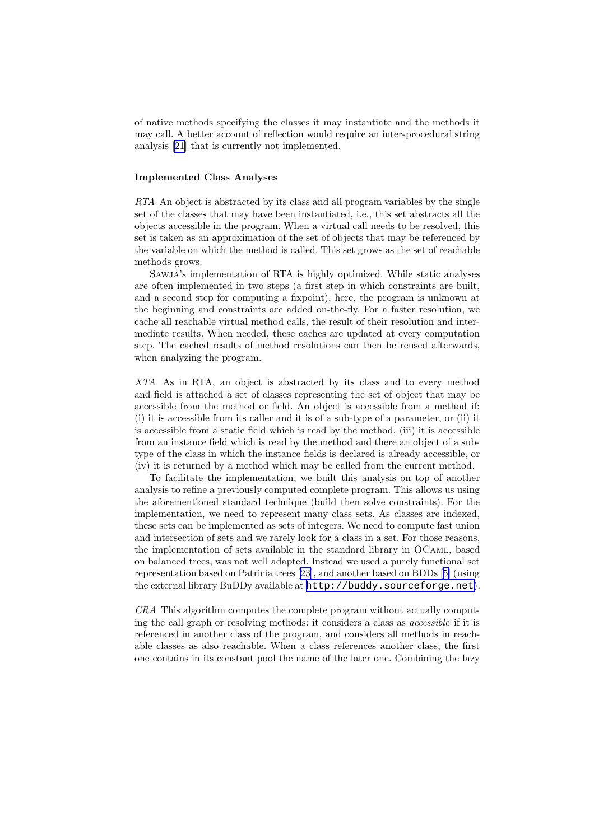of native methods specifying the classes it may instantiate and the methods it may call. A better account of reflection would require an inter-procedural string analysis[[21\]](#page-15-0) that is currently not implemented.

#### Implemented Class Analyses

RTA An object is abstracted by its class and all program variables by the single set of the classes that may have been instantiated, i.e., this set abstracts all the objects accessible in the program. When a virtual call needs to be resolved, this set is taken as an approximation of the set of objects that may be referenced by the variable on which the method is called. This set grows as the set of reachable methods grows.

Sawja's implementation of RTA is highly optimized. While static analyses are often implemented in two steps (a first step in which constraints are built, and a second step for computing a fixpoint), here, the program is unknown at the beginning and constraints are added on-the-fly. For a faster resolution, we cache all reachable virtual method calls, the result of their resolution and intermediate results. When needed, these caches are updated at every computation step. The cached results of method resolutions can then be reused afterwards, when analyzing the program.

XTA As in RTA, an object is abstracted by its class and to every method and field is attached a set of classes representing the set of object that may be accessible from the method or field. An object is accessible from a method if: (i) it is accessible from its caller and it is of a sub-type of a parameter, or (ii) it is accessible from a static field which is read by the method, (iii) it is accessible from an instance field which is read by the method and there an object of a subtype of the class in which the instance fields is declared is already accessible, or (iv) it is returned by a method which may be called from the current method.

To facilitate the implementation, we built this analysis on top of another analysis to refine a previously computed complete program. This allows us using the aforementioned standard technique (build then solve constraints). For the implementation, we need to represent many class sets. As classes are indexed, these sets can be implemented as sets of integers. We need to compute fast union and intersection of sets and we rarely look for a class in a set. For those reasons, the implementation of sets available in the standard library in OCaml, based on balanced trees, was not well adapted. Instead we used a purely functional set representation based on Patricia trees[[23\]](#page-15-0), and another based on BDDs[[5\]](#page-15-0) (using the external library BuDDy available at <http://buddy.sourceforge.net>).

CRA This algorithm computes the complete program without actually computing the call graph or resolving methods: it considers a class as accessible if it is referenced in another class of the program, and considers all methods in reachable classes as also reachable. When a class references another class, the first one contains in its constant pool the name of the later one. Combining the lazy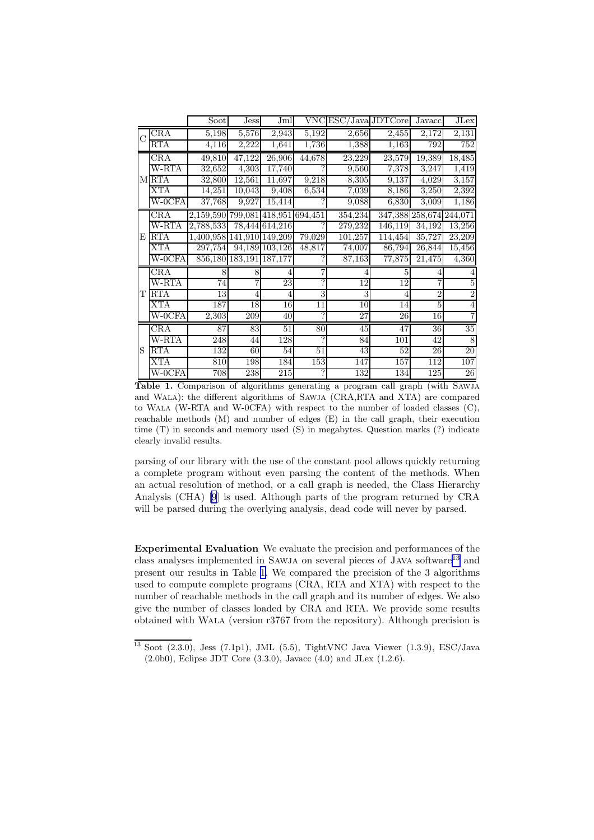|                |              | Soot                      | Jess               | Jml               |         | VNC ESC/Java JDTCore |         | Javacc                  | JLex            |
|----------------|--------------|---------------------------|--------------------|-------------------|---------|----------------------|---------|-------------------------|-----------------|
| $\overline{C}$ | $_{\rm CRA}$ | 5,198                     | 5,576              | 2,943             | 5,192   | 2,656                | 2,455   | 2,172                   | 2,131           |
|                | <b>RTA</b>   | 4,116                     | $\overline{2,222}$ | 1,641             | 1,736   | 1,388                | 1,163   | 792                     | 752             |
|                | $_{\rm CRA}$ | 49,810                    | 47,122             | 26,906            | 44,678  | 23,229               | 23,579  | 19,389                  | 18,485          |
|                | W-RTA        | 32,652                    | 4,303              | 17,740            |         | 9,560                | 7,378   | 3,247                   | 1,419           |
|                | M RTA        | 32,800                    | 12,561             | 11,697            | 9,218   | 8,305                | 9,137   | 4,029                   | 3,157           |
|                | <b>XTA</b>   | 14,251                    | 10,043             | 9,408             | 6,534   | 7,039                | 8,186   | $\overline{3,250}$      | 2,392           |
|                | W-0CFA       | 37,768                    | 9,927              | 15,414            |         | 9,088                | 6,830   | 3,009                   | 1,186           |
| E              | $_{\rm CRA}$ | 2,159,590 799,081 418,951 |                    |                   | 694,451 | 354,234              |         | 347,388 258,674 244,071 |                 |
|                | W-RTA        | 2,788,533                 |                    | 78,444 614,216    |         | 279,232              | 146,119 | 34,192                  | 13,256          |
|                | <b>RTA</b>   | 1,400,958                 |                    | 141,910 149,209   | 79,029  | 101,257              | 114,454 | 35,727                  | 23,209          |
|                | <b>XTA</b>   | 297,754                   |                    | 94,189 103,126    | 48,817  | 74,007               | 86,794  | 26,844                  | 15,456          |
|                | W-0CFA       | 856,180                   |                    | 183, 191 187, 177 |         | 87,163               | 77,875  | 21,475                  | 4,360           |
| T              | $_{\rm CRA}$ | 8                         | 8                  | 4                 |         | 4                    | 5       |                         |                 |
|                | W-RTA        | 74                        | 7                  | 23                |         | 12                   | 12      |                         | 5               |
|                | <b>RTA</b>   | 13                        | 4                  | 4                 | 3       | 3                    | 4       | $\overline{2}$          | $\overline{2}$  |
|                | <b>XTA</b>   | 187                       | 18                 | 16                | 11      | 10                   | 14      | 5                       | $\overline{4}$  |
|                | W-0CFA       | 2,303                     | 209                | 40                | ?       | 27                   | 26      | 16                      | 7               |
| S              | $_{\rm CRA}$ | 87                        | 83                 | 51                | 80      | 45                   | 47      | 36                      | 35              |
|                | W-RTA        | 248                       | 44                 | 128               |         | 84                   | 101     | 42                      | 8               |
|                | <b>RTA</b>   | 132                       | 60                 | 54                | 51      | 43                   | 52      | 26                      | $\overline{20}$ |
|                | <b>XTA</b>   | 810                       | 198                | 184               | 153     | 147                  | 157     | 112                     | 107             |
|                | W-0CFA       | 708                       | 238                | 215               | ?       | 132                  | 134     | 125                     | $26\,$          |

Table 1. Comparison of algorithms generating a program call graph (with SAWJA and Wala): the different algorithms of Sawja (CRA,RTA and XTA) are compared to Wala (W-RTA and W-0CFA) with respect to the number of loaded classes (C), reachable methods (M) and number of edges (E) in the call graph, their execution time (T) in seconds and memory used (S) in megabytes. Question marks (?) indicate clearly invalid results.

parsing of our library with the use of the constant pool allows quickly returning a complete program without even parsing the content of the methods. When an actual resolution of method, or a call graph is needed, the Class Hierarchy Analysis (CHA) [\[9](#page-15-0)] is used. Although parts of the program returned by CRA will be parsed during the overlying analysis, dead code will never by parsed.

Experimental Evaluation We evaluate the precision and performances of the class analyses implemented in SAWJA on several pieces of JAVA software<sup>13</sup> and present our results in Table 1. We compared the precision of the 3 algorithms used to compute complete programs (CRA, RTA and XTA) with respect to the number of reachable methods in the call graph and its number of edges. We also give the number of classes loaded by CRA and RTA. We provide some results obtained with Wala (version r3767 from the repository). Although precision is

 $13$  Soot (2.3.0), Jess (7.1p1), JML (5.5), TightVNC Java Viewer (1.3.9), ESC/Java (2.0b0), Eclipse JDT Core (3.3.0), Javacc (4.0) and JLex (1.2.6).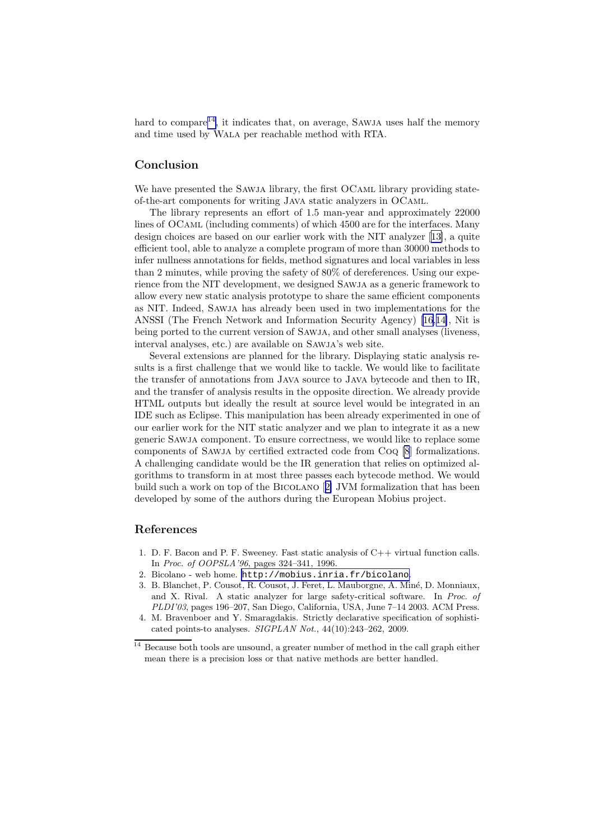<span id="page-14-0"></span>hard to compare<sup>14</sup>, it indicates that, on average, SAWJA uses half the memory and time used by Wala per reachable method with RTA.

## Conclusion

We have presented the SAWJA library, the first OCAML library providing stateof-the-art components for writing Java static analyzers in OCaml.

The library represents an effort of 1.5 man-year and approximately 22000 lines of OCaml (including comments) of which 4500 are for the interfaces. Many design choices are based on our earlier work with the NIT analyzer[[13\]](#page-15-0), a quite efficient tool, able to analyze a complete program of more than 30000 methods to infer nullness annotations for fields, method signatures and local variables in less than 2 minutes, while proving the safety of 80% of dereferences. Using our experience from the NIT development, we designed Sawja as a generic framework to allow every new static analysis prototype to share the same efficient components as NIT. Indeed, Sawja has already been used in two implementations for the ANSSI (The French Network and Information Security Agency)[[16,14\]](#page-15-0), Nit is being ported to the current version of Sawja, and other small analyses (liveness, interval analyses, etc.) are available on Sawja's web site.

Several extensions are planned for the library. Displaying static analysis results is a first challenge that we would like to tackle. We would like to facilitate the transfer of annotations from Java source to Java bytecode and then to IR, and the transfer of analysis results in the opposite direction. We already provide HTML outputs but ideally the result at source level would be integrated in an IDE such as Eclipse. This manipulation has been already experimented in one of our earlier work for the NIT static analyzer and we plan to integrate it as a new generic Sawja component. To ensure correctness, we would like to replace some components of Sawja by certified extracted code from Coq [\[8](#page-15-0)] formalizations. A challenging candidate would be the IR generation that relies on optimized algorithms to transform in at most three passes each bytecode method. We would build such a work on top of the Bicolano [2] JVM formalization that has been developed by some of the authors during the European Mobius project.

# References

- 1. D. F. Bacon and P. F. Sweeney. Fast static analysis of C++ virtual function calls. In Proc. of OOPSLA'96, pages 324–341, 1996.
- 2. Bicolano web home. <http://mobius.inria.fr/bicolano>.
- 3. B. Blanchet, P. Cousot, R. Cousot, J. Feret, L. Mauborgne, A. Miné, D. Monniaux, and X. Rival. A static analyzer for large safety-critical software. In Proc. of PLDI'03, pages 196–207, San Diego, California, USA, June 7–14 2003. ACM Press.
- 4. M. Bravenboer and Y. Smaragdakis. Strictly declarative specification of sophisticated points-to analyses. SIGPLAN Not., 44(10):243–262, 2009.

<sup>&</sup>lt;sup>14</sup> Because both tools are unsound, a greater number of method in the call graph either mean there is a precision loss or that native methods are better handled.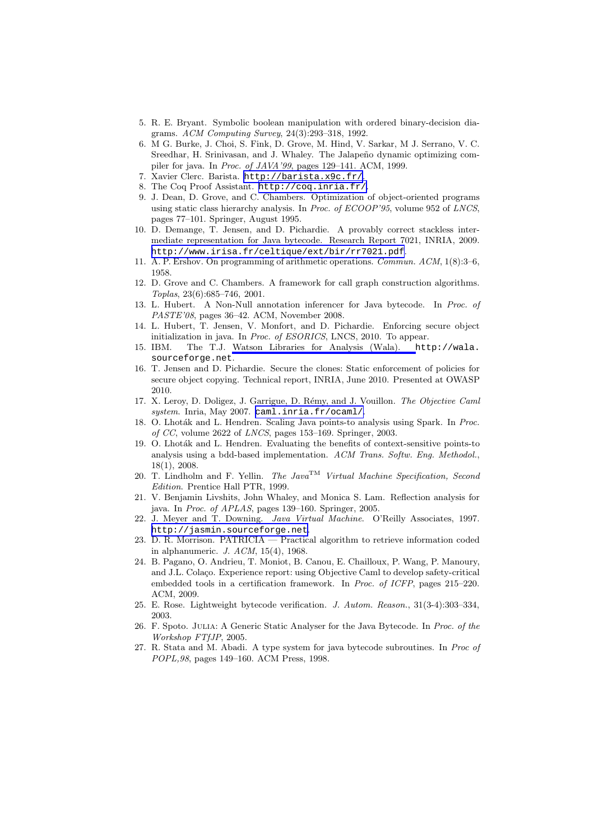- <span id="page-15-0"></span>5. R. E. Bryant. Symbolic boolean manipulation with ordered binary-decision diagrams. ACM Computing Survey, 24(3):293–318, 1992.
- 6. M G. Burke, J. Choi, S. Fink, D. Grove, M. Hind, V. Sarkar, M J. Serrano, V. C. Sreedhar, H. Srinivasan, and J. Whaley. The Jalapeño dynamic optimizing compiler for java. In Proc. of JAVA'99, pages 129–141. ACM, 1999.
- 7. Xavier Clerc. Barista. <http://barista.x9c.fr/>.
- 8. The Coq Proof Assistant. <http://coq.inria.fr/>.
- 9. J. Dean, D. Grove, and C. Chambers. Optimization of object-oriented programs using static class hierarchy analysis. In Proc. of ECOOP'95, volume 952 of LNCS, pages 77–101. Springer, August 1995.
- 10. D. Demange, T. Jensen, and D. Pichardie. A provably correct stackless intermediate representation for Java bytecode. Research Report 7021, INRIA, 2009. <http://www.irisa.fr/celtique/ext/bir/rr7021.pdf>.
- 11. A. P. Ershov. On programming of arithmetic operations. Commun. ACM, 1(8):3–6, 1958.
- 12. D. Grove and C. Chambers. A framework for call graph construction algorithms. Toplas, 23(6):685–746, 2001.
- 13. L. Hubert. A Non-Null annotation inferencer for Java bytecode. In Proc. of PASTE'08, pages 36–42. ACM, November 2008.
- 14. L. Hubert, T. Jensen, V. Monfort, and D. Pichardie. Enforcing secure object initialization in java. In Proc. of ESORICS, LNCS, 2010. To appear.
- 15. IBM. The T.J. [Watson Libraries for Analysis \(Wala\).](http://wala.sourceforge.net) http://wala. sourceforge.net.
- 16. T. Jensen and D. Pichardie. Secure the clones: Static enforcement of policies for secure object copying. Technical report, INRIA, June 2010. Presented at OWASP 2010.
- 17. X. Leroy, D. Doligez, J. Garrigue, D. Rémy, and J. Vouillon. The Objective Caml system. Inria, May 2007. <caml.inria.fr/ocaml/>.
- 18. O. Lhoták and L. Hendren. Scaling Java points-to analysis using Spark. In Proc. of CC, volume 2622 of LNCS, pages 153–169. Springer, 2003.
- 19. O. Lhoták and L. Hendren. Evaluating the benefits of context-sensitive points-to analysis using a bdd-based implementation. ACM Trans. Softw. Eng. Methodol., 18(1), 2008.
- 20. T. Lindholm and F. Yellin. The Java<sup>TM</sup> Virtual Machine Specification, Second Edition. Prentice Hall PTR, 1999.
- 21. V. Benjamin Livshits, John Whaley, and Monica S. Lam. Reflection analysis for java. In Proc. of APLAS, pages 139–160. Springer, 2005.
- 22. J. Meyer and T. Downing. Java Virtual Machine. O'Reilly Associates, 1997. <http://jasmin.sourceforge.net>.
- 23. D. R. Morrison. PATRICIA Practical algorithm to retrieve information coded in alphanumeric. J. ACM, 15(4), 1968.
- 24. B. Pagano, O. Andrieu, T. Moniot, B. Canou, E. Chailloux, P. Wang, P. Manoury, and J.L. Colaço. Experience report: using Objective Caml to develop safety-critical embedded tools in a certification framework. In Proc. of ICFP, pages 215–220. ACM, 2009.
- 25. E. Rose. Lightweight bytecode verification. J. Autom. Reason., 31(3-4):303–334, 2003.
- 26. F. Spoto. Julia: A Generic Static Analyser for the Java Bytecode. In Proc. of the Workshop FTfJP, 2005.
- 27. R. Stata and M. Abadi. A type system for java bytecode subroutines. In Proc of POPL,98, pages 149–160. ACM Press, 1998.